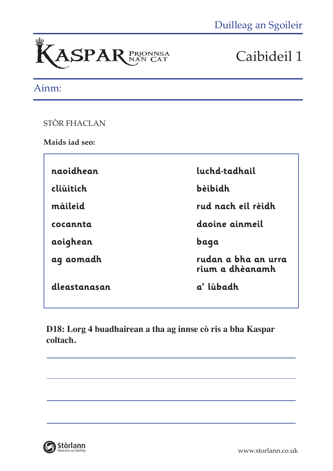

### Ainm:

STÒR FHACLAN

**Maids iad seo:**

| naoidhean    | luchd-tadhail                          |  |
|--------------|----------------------------------------|--|
| cliùitich    | bèibidh                                |  |
| màileid      | rud nach eil rèidh                     |  |
| cocannta     | daoine ainmeil                         |  |
| aoighean     | baqa                                   |  |
| ag aomadh    | rudan a bha an urra<br>rium a dhèanamh |  |
| dleastanasan | a' lùbadh                              |  |

**D18: Lorg 4 buadhairean a tha ag innse cò ris a bha Kaspar coltach.**

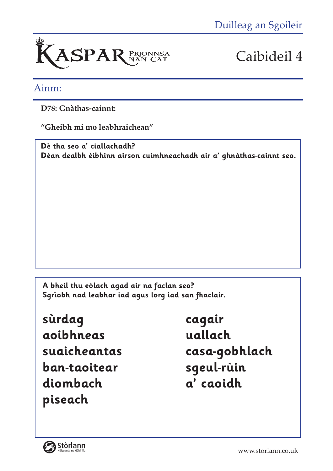

### Ainm:

**D78: Gnàthas-cainnt:** 

**"Gheibh mi mo leabhraichean"** 

**Dè tha seo a' ciallachadh? Dèan dealbh èibhinn airson cuimhneachadh air a' ghnàthas-cainnt seo.**

**A bheil thu eòlach agad air na faclan seo? Sgrìobh nad leabhar iad agus lorg iad san fhaclair.**

**sùrdag cagair aoibhneas uallach ban-taoitear sgeul-rùin diombach a' caoidh piseach**

**suaicheantas casa-gobhlach** 

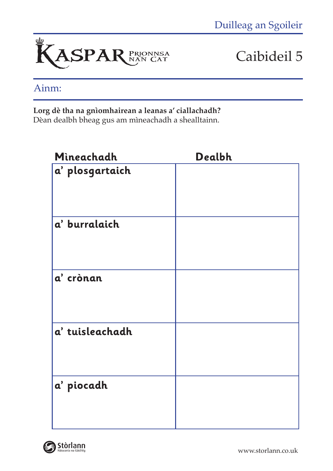

## Ainm:

#### **Lorg dè tha na gnìomhairean a leanas a' ciallachadh?**

Dèan dealbh bheag gus am mìneachadh a shealltainn.

| Mineachadh                                                         | Dealbh |
|--------------------------------------------------------------------|--------|
| $ \textit{\textbf{a}}^{\textit{\textbf{\textit{c}}}}$ plosgartaich |        |
| a' burralaich                                                      |        |
| a' crònan                                                          |        |
| a' tuisleachadh                                                    |        |
| a' piocadh                                                         |        |

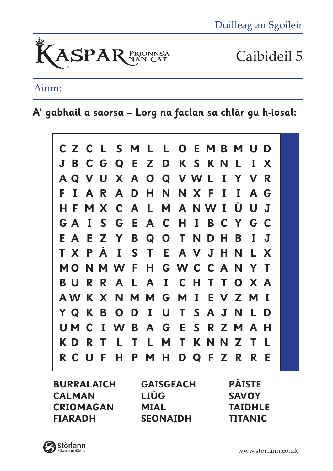

## Ainm:

**A' gabhail a saorsa – Lorg na faclan sa chlàr gu h-iosal:**



**BURRALAICH CALMAN CRIOMAGAN FIARADH**

**GAISGEACH LIÙG MIAL SEONAIDH**

**PÀISTE SAVOY TAIDHLE TITANIC**

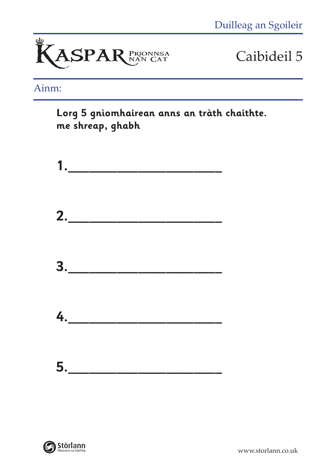

## Ainm:

**Lorg 5 gnìomhairean anns an tràth chaithte. me shreap, ghabh**



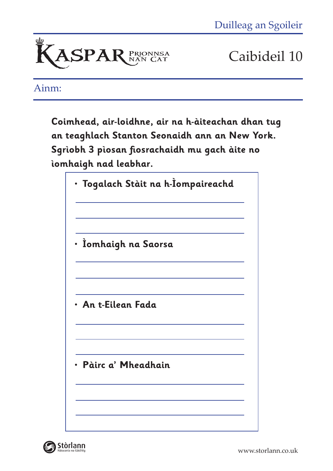

Ainm:

**Coimhead, air-loidhne, air na h-àiteachan dhan tug an teaghlach Stanton Seonaidh ann an New York. Sgrìobh 3 pìosan fiosrachaidh mu gach àite no ìomhaigh nad leabhar.**





www.storlann.co.uk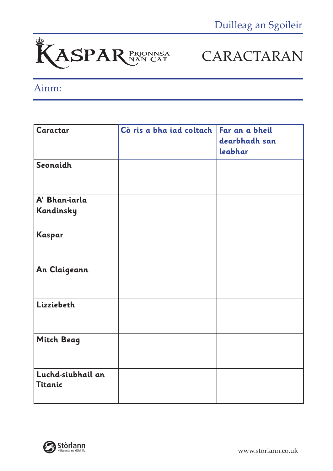

# CARACTARAN

## Ainm:

| Caractar                     | Cò ris a bha iad coltach   Far an a bheil | dearbhadh san<br>leabhar |
|------------------------------|-------------------------------------------|--------------------------|
| Seonaidh                     |                                           |                          |
| A' Bhan-iarla<br>Kandinsky   |                                           |                          |
| Kaspar                       |                                           |                          |
| An Claigeann                 |                                           |                          |
| Lizziebeth                   |                                           |                          |
| Mitch Beag                   |                                           |                          |
| Luchd-siubhail an<br>Titanic |                                           |                          |